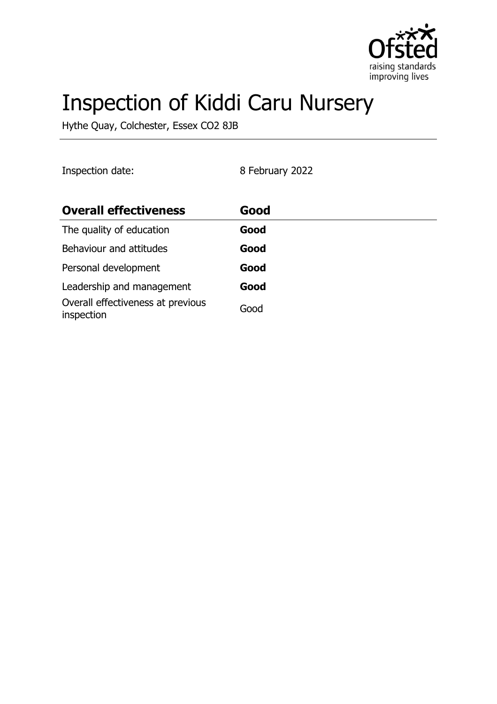

# Inspection of Kiddi Caru Nursery

Hythe Quay, Colchester, Essex CO2 8JB

| Inspection date:                                | 8 February 2022 |
|-------------------------------------------------|-----------------|
| <b>Overall effectiveness</b>                    | Good            |
| The quality of education                        | Good            |
| Behaviour and attitudes                         | Good            |
| Personal development                            | Good            |
| Leadership and management                       | Good            |
| Overall effectiveness at previous<br>inspection | Good            |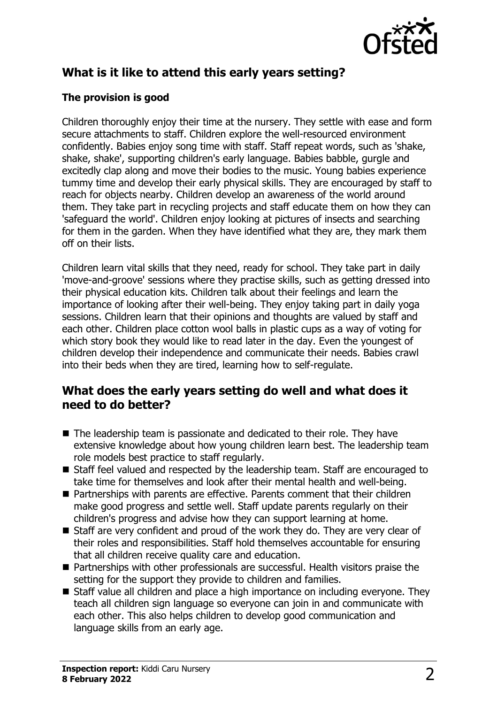

# **What is it like to attend this early years setting?**

## **The provision is good**

Children thoroughly enjoy their time at the nursery. They settle with ease and form secure attachments to staff. Children explore the well-resourced environment confidently. Babies enjoy song time with staff. Staff repeat words, such as 'shake, shake, shake', supporting children's early language. Babies babble, gurgle and excitedly clap along and move their bodies to the music. Young babies experience tummy time and develop their early physical skills. They are encouraged by staff to reach for objects nearby. Children develop an awareness of the world around them. They take part in recycling projects and staff educate them on how they can 'safeguard the world'. Children enjoy looking at pictures of insects and searching for them in the garden. When they have identified what they are, they mark them off on their lists.

Children learn vital skills that they need, ready for school. They take part in daily 'move-and-groove' sessions where they practise skills, such as getting dressed into their physical education kits. Children talk about their feelings and learn the importance of looking after their well-being. They enjoy taking part in daily yoga sessions. Children learn that their opinions and thoughts are valued by staff and each other. Children place cotton wool balls in plastic cups as a way of voting for which story book they would like to read later in the day. Even the youngest of children develop their independence and communicate their needs. Babies crawl into their beds when they are tired, learning how to self-regulate.

## **What does the early years setting do well and what does it need to do better?**

- $\blacksquare$  The leadership team is passionate and dedicated to their role. They have extensive knowledge about how young children learn best. The leadership team role models best practice to staff regularly.
- Staff feel valued and respected by the leadership team. Staff are encouraged to take time for themselves and look after their mental health and well-being.
- $\blacksquare$  Partnerships with parents are effective. Parents comment that their children make good progress and settle well. Staff update parents regularly on their children's progress and advise how they can support learning at home.
- $\blacksquare$  Staff are very confident and proud of the work they do. They are very clear of their roles and responsibilities. Staff hold themselves accountable for ensuring that all children receive quality care and education.
- Partnerships with other professionals are successful. Health visitors praise the setting for the support they provide to children and families.
- $\blacksquare$  Staff value all children and place a high importance on including everyone. They teach all children sign language so everyone can join in and communicate with each other. This also helps children to develop good communication and language skills from an early age.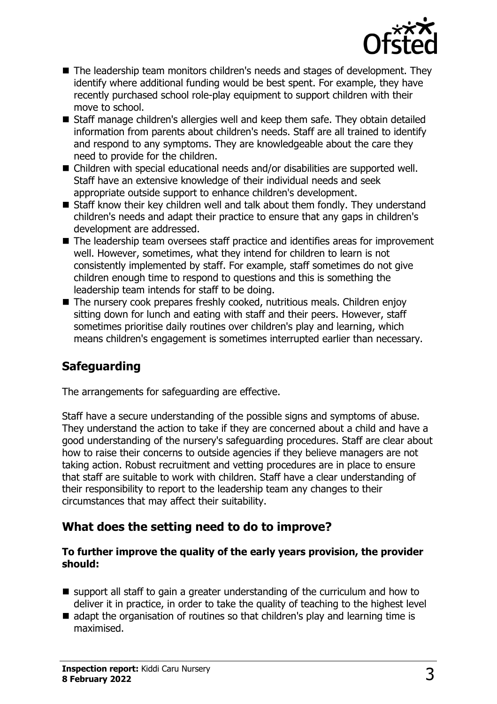

- $\blacksquare$  The leadership team monitors children's needs and stages of development. They identify where additional funding would be best spent. For example, they have recently purchased school role-play equipment to support children with their move to school.
- Staff manage children's allergies well and keep them safe. They obtain detailed information from parents about children's needs. Staff are all trained to identify and respond to any symptoms. They are knowledgeable about the care they need to provide for the children.
- $\blacksquare$  Children with special educational needs and/or disabilities are supported well. Staff have an extensive knowledge of their individual needs and seek appropriate outside support to enhance children's development.
- $\blacksquare$  Staff know their key children well and talk about them fondly. They understand children's needs and adapt their practice to ensure that any gaps in children's development are addressed.
- $\blacksquare$  The leadership team oversees staff practice and identifies areas for improvement well. However, sometimes, what they intend for children to learn is not consistently implemented by staff. For example, staff sometimes do not give children enough time to respond to questions and this is something the leadership team intends for staff to be doing.
- The nursery cook prepares freshly cooked, nutritious meals. Children enjoy sitting down for lunch and eating with staff and their peers. However, staff sometimes prioritise daily routines over children's play and learning, which means children's engagement is sometimes interrupted earlier than necessary.

# **Safeguarding**

The arrangements for safeguarding are effective.

Staff have a secure understanding of the possible signs and symptoms of abuse. They understand the action to take if they are concerned about a child and have a good understanding of the nursery's safeguarding procedures. Staff are clear about how to raise their concerns to outside agencies if they believe managers are not taking action. Robust recruitment and vetting procedures are in place to ensure that staff are suitable to work with children. Staff have a clear understanding of their responsibility to report to the leadership team any changes to their circumstances that may affect their suitability.

# **What does the setting need to do to improve?**

#### **To further improve the quality of the early years provision, the provider should:**

- $\blacksquare$  support all staff to gain a greater understanding of the curriculum and how to deliver it in practice, in order to take the quality of teaching to the highest level
- $\blacksquare$  adapt the organisation of routines so that children's play and learning time is maximised.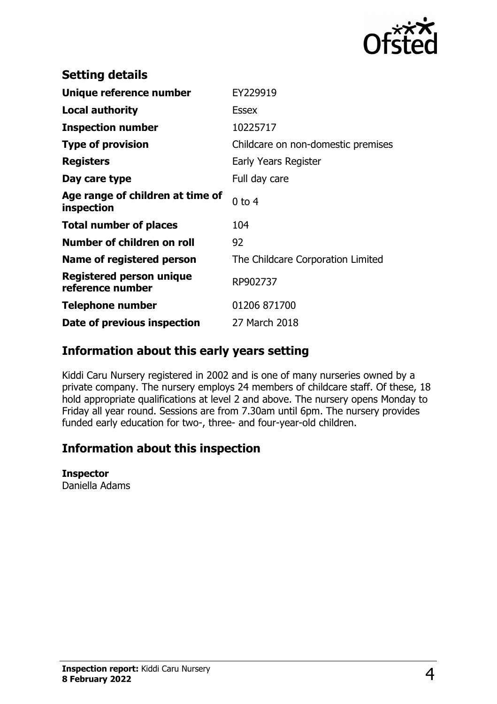

| <b>Setting details</b>                              |                                    |
|-----------------------------------------------------|------------------------------------|
| Unique reference number                             | EY229919                           |
| <b>Local authority</b>                              | <b>Essex</b>                       |
| <b>Inspection number</b>                            | 10225717                           |
| <b>Type of provision</b>                            | Childcare on non-domestic premises |
| <b>Registers</b>                                    | Early Years Register               |
| Day care type                                       | Full day care                      |
| Age range of children at time of<br>inspection      | $0$ to 4                           |
| <b>Total number of places</b>                       | 104                                |
| Number of children on roll                          | 92                                 |
| Name of registered person                           | The Childcare Corporation Limited  |
| <b>Registered person unique</b><br>reference number | RP902737                           |
| Telephone number                                    | 01206 871700                       |
| Date of previous inspection                         | 27 March 2018                      |

## **Information about this early years setting**

Kiddi Caru Nursery registered in 2002 and is one of many nurseries owned by a private company. The nursery employs 24 members of childcare staff. Of these, 18 hold appropriate qualifications at level 2 and above. The nursery opens Monday to Friday all year round. Sessions are from 7.30am until 6pm. The nursery provides funded early education for two-, three- and four-year-old children.

# **Information about this inspection**

#### **Inspector**

Daniella Adams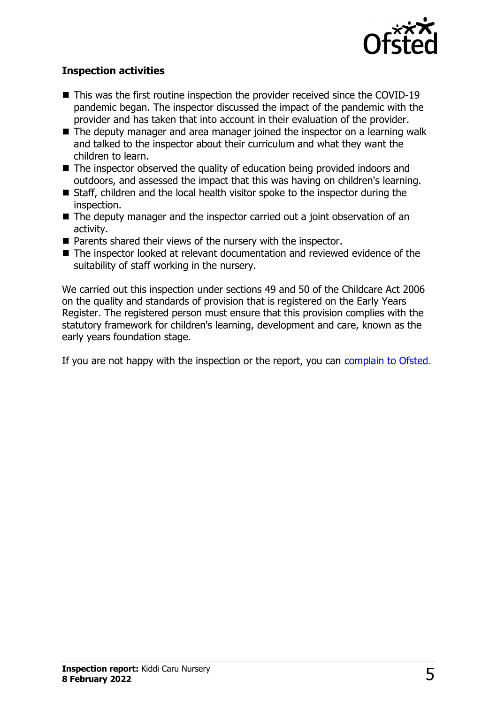

### **Inspection activities**

- $\blacksquare$  This was the first routine inspection the provider received since the COVID-19 pandemic began. The inspector discussed the impact of the pandemic with the provider and has taken that into account in their evaluation of the provider.
- $\blacksquare$  The deputy manager and area manager joined the inspector on a learning walk and talked to the inspector about their curriculum and what they want the children to learn.
- $\blacksquare$  The inspector observed the quality of education being provided indoors and outdoors, and assessed the impact that this was having on children's learning.
- $\blacksquare$  Staff, children and the local health visitor spoke to the inspector during the inspection.
- $\blacksquare$  The deputy manager and the inspector carried out a joint observation of an activity.
- $\blacksquare$  Parents shared their views of the nursery with the inspector.
- $\blacksquare$  The inspector looked at relevant documentation and reviewed evidence of the suitability of staff working in the nursery.

We carried out this inspection under sections 49 and 50 of the Childcare Act 2006 on the quality and standards of provision that is registered on the Early Years Register. The registered person must ensure that this provision complies with the statutory framework for children's learning, development and care, known as the early years foundation stage.

If you are not happy with the inspection or the report, you can [complain to Ofsted](http://www.gov.uk/complain-ofsted-report).